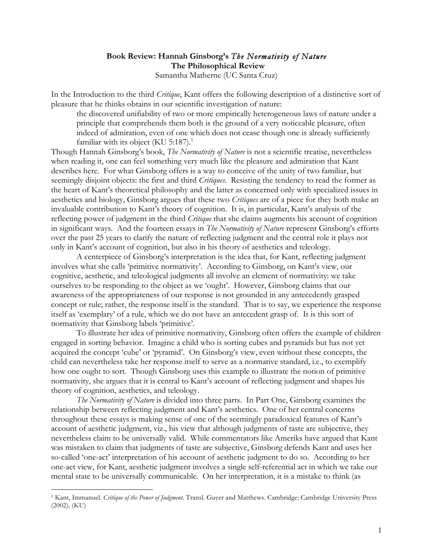## **Book Review: Hannah Ginsborg's** *The Normativity of Nature* **The Philosophical Review** Samantha Matherne (UC Santa Cruz)

In the Introduction to the third *Critique*, Kant offers the following description of a distinctive sort of pleasure that he thinks obtains in our scientific investigation of nature:

the discovered unifiability of two or more empirically heterogeneous laws of nature under a principle that comprehends them both is the ground of a very noticeable pleasure, often indeed of admiration, even of one which does not cease though one is already sufficiently familiar with its object (KU 5:187).<sup>1</sup>

Though Hannah Ginsborg's book, *The Normativity of Nature* is not a scientific treatise, nevertheless when reading it, one can feel something very much like the pleasure and admiration that Kant describes here. For what Ginsborg offers is a way to conceive of the unity of two familiar, but seemingly disjoint objects: the first and third *Critiques*. Resisting the tendency to read the former as the heart of Kant's theoretical philosophy and the latter as concerned only with specialized issues in aesthetics and biology, Ginsborg argues that these two *Critiques* are of a piece for they both make an invaluable contribution to Kant's theory of cognition. It is, in particular, Kant's analysis of the reflecting power of judgment in the third *Critique* that she claims augments his account of cognition in significant ways. And the fourteen essays in *The Normativity of Nature* represent Ginsborg's efforts over the past 25 years to clarify the nature of reflecting judgment and the central role it plays not only in Kant's account of cognition, but also in his theory of aesthetics and teleology.

A centerpiece of Ginsborg's interpretation is the idea that, for Kant, reflecting judgment involves what she calls 'primitive normativity'. According to Ginsborg, on Kant's view, our cognitive, aesthetic, and teleological judgments all involve an element of normativity: we take ourselves to be responding to the object as we 'ought'. However, Ginsborg claims that our awareness of the appropriateness of our response is not grounded in any antecedently grasped concept or rule; rather, the response itself is the standard. That is to say, we experience the response itself as 'exemplary' of a rule, which we do not have an antecedent grasp of. It is this sort of normativity that Ginsborg labels 'primitive'.

To illustrate her idea of primitive normativity, Ginsborg often offers the example of children engaged in sorting behavior. Imagine a child who is sorting cubes and pyramids but has not yet acquired the concept 'cube' or 'pyramid'. On Ginsborg's view, even without these concepts, the child can nevertheless take her response itself to serve as a normative standard, i.e., to exemplify how one ought to sort. Though Ginsborg uses this example to illustrate the notion of primitive normativity, she argues that it is central to Kant's account of reflecting judgment and shapes his theory of cognition, aesthetics, and teleology.

*The Normativity of Nature* is divided into three parts. In Part One, Ginsborg examines the relationship between reflecting judgment and Kant's aesthetics. One of her central concerns throughout these essays is making sense of one of the seemingly paradoxical features of Kant's account of aesthetic judgment, viz., his view that although judgments of taste are subjective, they nevertheless claim to be universally valid. While commentators like Ameriks have argued that Kant was mistaken to claim that judgments of taste are subjective, Ginsborg defends Kant and uses her so-called 'one-act' interpretation of his account of aesthetic judgment to do so. According to her one-act view, for Kant, aesthetic judgment involves a single self-referential act in which we take our mental state to be universally communicable. On her interpretation, it is a mistake to think (as

 <sup>1</sup> Kant, Immanuel. *Critique of the Power of Judgment*. Transl. Guyer and Matthews. Cambridge: Cambridge University Press (2002). (KU)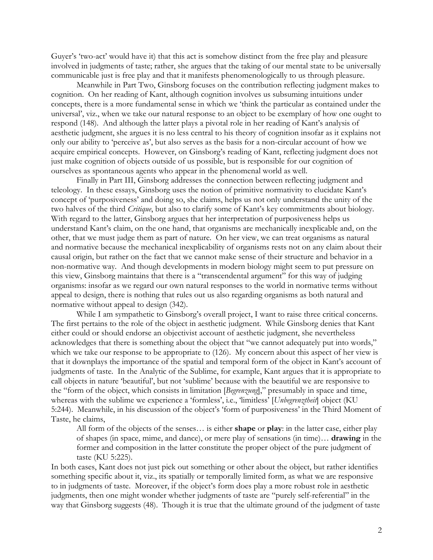Guyer's 'two-act' would have it) that this act is somehow distinct from the free play and pleasure involved in judgments of taste; rather, she argues that the taking of our mental state to be universally communicable just is free play and that it manifests phenomenologically to us through pleasure.

Meanwhile in Part Two, Ginsborg focuses on the contribution reflecting judgment makes to cognition. On her reading of Kant, although cognition involves us subsuming intuitions under concepts, there is a more fundamental sense in which we 'think the particular as contained under the universal', viz., when we take our natural response to an object to be exemplary of how one ought to respond (148). And although the latter plays a pivotal role in her reading of Kant's analysis of aesthetic judgment, she argues it is no less central to his theory of cognition insofar as it explains not only our ability to 'perceive as', but also serves as the basis for a non-circular account of how we acquire empirical concepts. However, on Ginsborg's reading of Kant, reflecting judgment does not just make cognition of objects outside of us possible, but is responsible for our cognition of ourselves as spontaneous agents who appear in the phenomenal world as well.

Finally in Part III, Ginsborg addresses the connection between reflecting judgment and teleology. In these essays, Ginsborg uses the notion of primitive normativity to elucidate Kant's concept of 'purposiveness' and doing so, she claims, helps us not only understand the unity of the two halves of the third *Critique*, but also to clarify some of Kant's key commitments about biology. With regard to the latter, Ginsborg argues that her interpretation of purposiveness helps us understand Kant's claim, on the one hand, that organisms are mechanically inexplicable and, on the other, that we must judge them as part of nature. On her view, we can treat organisms as natural and normative because the mechanical inexplicability of organisms rests not on any claim about their causal origin, but rather on the fact that we cannot make sense of their structure and behavior in a non-normative way. And though developments in modern biology might seem to put pressure on this view, Ginsborg maintains that there is a "transcendental argument" for this way of judging organisms: insofar as we regard our own natural responses to the world in normative terms without appeal to design, there is nothing that rules out us also regarding organisms as both natural and normative without appeal to design (342).

While I am sympathetic to Ginsborg's overall project, I want to raise three critical concerns. The first pertains to the role of the object in aesthetic judgment. While Ginsborg denies that Kant either could or should endorse an objectivist account of aesthetic judgment, she nevertheless acknowledges that there is something about the object that "we cannot adequately put into words," which we take our response to be appropriate to (126). My concern about this aspect of her view is that it downplays the importance of the spatial and temporal form of the object in Kant's account of judgments of taste. In the Analytic of the Sublime, for example, Kant argues that it is appropriate to call objects in nature 'beautiful', but not 'sublime' because with the beautiful we are responsive to the "form of the object, which consists in limitation [*Begrenzung*]," presumably in space and time, whereas with the sublime we experience a 'formless', i.e., 'limitless' [*Unbegrenztheit*] object (KU 5:244). Meanwhile, in his discussion of the object's 'form of purposiveness' in the Third Moment of Taste, he claims,

All form of the objects of the senses… is either **shape** or **play**: in the latter case, either play of shapes (in space, mime, and dance), or mere play of sensations (in time)… **drawing** in the former and composition in the latter constitute the proper object of the pure judgment of taste (KU 5:225).

In both cases, Kant does not just pick out something or other about the object, but rather identifies something specific about it, viz., its spatially or temporally limited form, as what we are responsive to in judgments of taste. Moreover, if the object's form does play a more robust role in aesthetic judgments, then one might wonder whether judgments of taste are "purely self-referential" in the way that Ginsborg suggests (48). Though it is true that the ultimate ground of the judgment of taste